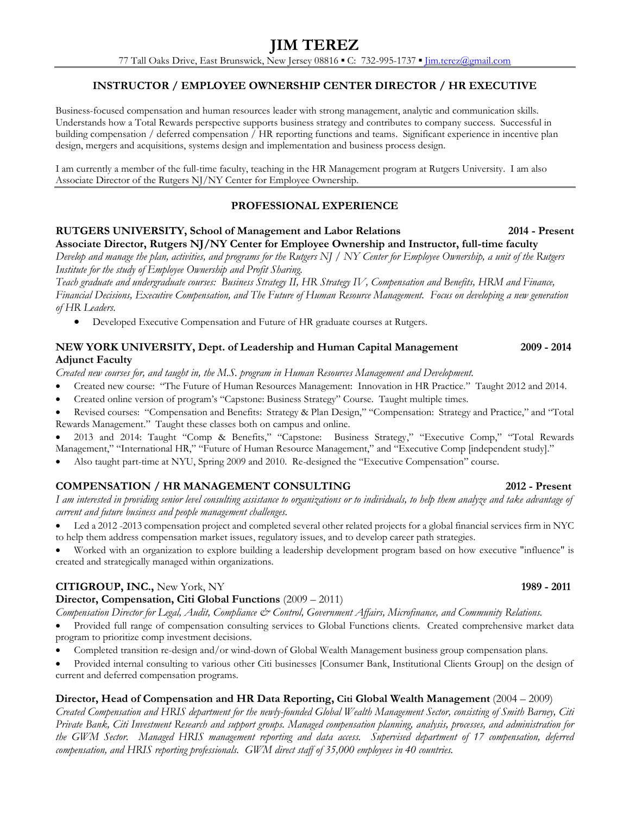# **INSTRUCTOR / EMPLOYEE OWNERSHIP CENTER DIRECTOR / HR EXECUTIVE**

Business-focused compensation and human resources leader with strong management, analytic and communication skills. Understands how a Total Rewards perspective supports business strategy and contributes to company success. Successful in building compensation / deferred compensation / HR reporting functions and teams. Significant experience in incentive plan design, mergers and acquisitions, systems design and implementation and business process design.

I am currently a member of the full-time faculty, teaching in the HR Management program at Rutgers University. I am also Associate Director of the Rutgers NJ/NY Center for Employee Ownership.

#### **PROFESSIONAL EXPERIENCE**

#### **RUTGERS UNIVERSITY, School of Management and Labor Relations 2014 - Present Associate Director, Rutgers NJ/NY Center for Employee Ownership and Instructor, full-time faculty**

*Develop and manage the plan, activities, and programs for the Rutgers NJ / NY Center for Employee Ownership, a unit of the Rutgers Institute for the study of Employee Ownership and Profit Sharing.*

*Teach graduate and undergraduate courses: Business Strategy II, HR Strategy IV, Compensation and Benefits, HRM and Finance, Financial Decisions, Executive Compensation, and The Future of Human Resource Management. Focus on developing a new generation of HR Leaders.*

Developed Executive Compensation and Future of HR graduate courses at Rutgers.

# **NEW YORK UNIVERSITY, Dept. of Leadership and Human Capital Management 2009 - 2014 Adjunct Faculty**

*Created new courses for, and taught in, the M.S. program in Human Resources Management and Development.*

- Created new course: "The Future of Human Resources Management: Innovation in HR Practice." Taught 2012 and 2014.
- Created online version of program's "Capstone: Business Strategy" Course. Taught multiple times.
- Revised courses: "Compensation and Benefits: Strategy & Plan Design," "Compensation: Strategy and Practice," and "Total Rewards Management." Taught these classes both on campus and online.

 2013 and 2014: Taught "Comp & Benefits," "Capstone: Business Strategy," "Executive Comp," "Total Rewards Management," "International HR," "Future of Human Resource Management," and "Executive Comp [independent study]."

Also taught part-time at NYU, Spring 2009 and 2010. Re-designed the "Executive Compensation" course.

# **COMPENSATION / HR MANAGEMENT CONSULTING 2012 - Present**

*I am interested in providing senior level consulting assistance to organizations or to individuals, to help them analyze and take advantage of current and future business and people management challenges.*

 Led a 2012 -2013 compensation project and completed several other related projects for a global financial services firm in NYC to help them address compensation market issues, regulatory issues, and to develop career path strategies.

 Worked with an organization to explore building a leadership development program based on how executive "influence" is created and strategically managed within organizations.

# **CITIGROUP, INC.,** New York, NY **1989 - 2011**

#### **Director, Compensation, Citi Global Functions** (2009 – 2011)

*Compensation Director for Legal, Audit, Compliance & Control, Government Affairs, Microfinance, and Community Relations.*

- Provided full range of compensation consulting services to Global Functions clients. Created comprehensive market data program to prioritize comp investment decisions.
- Completed transition re-design and/or wind-down of Global Wealth Management business group compensation plans.
- Provided internal consulting to various other Citi businesses [Consumer Bank, Institutional Clients Group] on the design of current and deferred compensation programs.

#### **Director, Head of Compensation and HR Data Reporting, Citi Global Wealth Management** (2004 – 2009)

*Created Compensation and HRIS department for the newly-founded Global Wealth Management Sector, consisting of Smith Barney, Citi Private Bank, Citi Investment Research and support groups. Managed compensation planning, analysis, processes, and administration for the GWM Sector. Managed HRIS management reporting and data access. Supervised department of 17 compensation, deferred compensation, and HRIS reporting professionals. GWM direct staff of 35,000 employees in 40 countries.*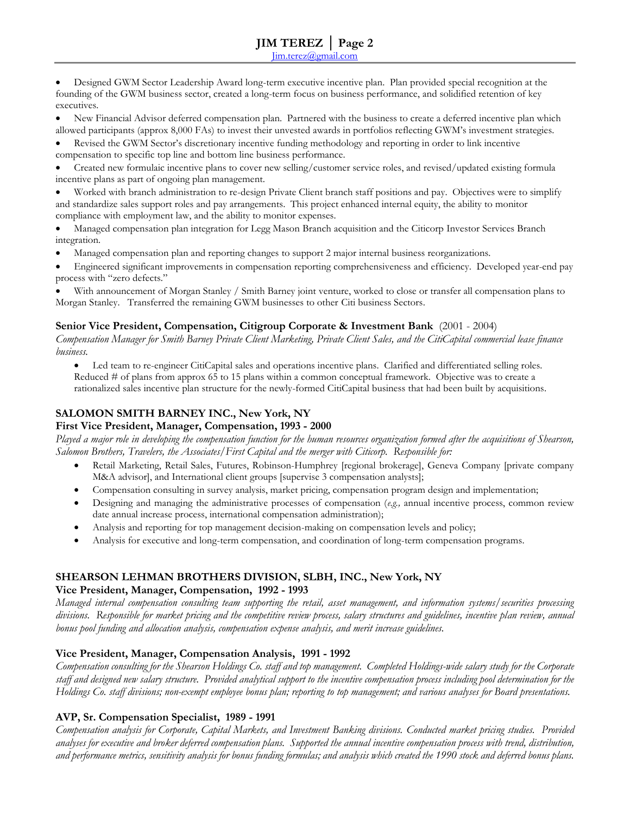Designed GWM Sector Leadership Award long-term executive incentive plan. Plan provided special recognition at the founding of the GWM business sector, created a long-term focus on business performance, and solidified retention of key executives.

 New Financial Advisor deferred compensation plan. Partnered with the business to create a deferred incentive plan which allowed participants (approx 8,000 FAs) to invest their unvested awards in portfolios reflecting GWM's investment strategies.

 Revised the GWM Sector's discretionary incentive funding methodology and reporting in order to link incentive compensation to specific top line and bottom line business performance.

 Created new formulaic incentive plans to cover new selling/customer service roles, and revised/updated existing formula incentive plans as part of ongoing plan management.

 Worked with branch administration to re-design Private Client branch staff positions and pay. Objectives were to simplify and standardize sales support roles and pay arrangements. This project enhanced internal equity, the ability to monitor compliance with employment law, and the ability to monitor expenses.

 Managed compensation plan integration for Legg Mason Branch acquisition and the Citicorp Investor Services Branch integration.

Managed compensation plan and reporting changes to support 2 major internal business reorganizations.

 Engineered significant improvements in compensation reporting comprehensiveness and efficiency. Developed year-end pay process with "zero defects."

 With announcement of Morgan Stanley / Smith Barney joint venture, worked to close or transfer all compensation plans to Morgan Stanley. Transferred the remaining GWM businesses to other Citi business Sectors.

#### **Senior Vice President, Compensation, Citigroup Corporate & Investment Bank** (2001 - 2004)

*Compensation Manager for Smith Barney Private Client Marketing, Private Client Sales, and the CitiCapital commercial lease finance business.*

 Led team to re-engineer CitiCapital sales and operations incentive plans. Clarified and differentiated selling roles. Reduced # of plans from approx 65 to 15 plans within a common conceptual framework. Objective was to create a rationalized sales incentive plan structure for the newly-formed CitiCapital business that had been built by acquisitions.

# **SALOMON SMITH BARNEY INC., New York, NY**

#### **First Vice President, Manager, Compensation, 1993 - 2000**

*Played a major role in developing the compensation function for the human resources organization formed after the acquisitions of Shearson, Salomon Brothers, Travelers, the Associates/First Capital and the merger with Citicorp. Responsible for:*

- Retail Marketing, Retail Sales, Futures, Robinson-Humphrey [regional brokerage], Geneva Company [private company M&A advisor], and International client groups [supervise 3 compensation analysts];
- Compensation consulting in survey analysis, market pricing, compensation program design and implementation;
- Designing and managing the administrative processes of compensation (*e.g.,* annual incentive process, common review date annual increase process, international compensation administration);
- Analysis and reporting for top management decision-making on compensation levels and policy;
- Analysis for executive and long-term compensation, and coordination of long-term compensation programs.

# **SHEARSON LEHMAN BROTHERS DIVISION, SLBH, INC., New York, NY**

#### **Vice President, Manager, Compensation, 1992 - 1993**

*Managed internal compensation consulting team supporting the retail, asset management, and information systems/securities processing divisions. Responsible for market pricing and the competitive review process, salary structures and guidelines, incentive plan review, annual bonus pool funding and allocation analysis, compensation expense analysis, and merit increase guidelines.*

# **Vice President, Manager, Compensation Analysis, 1991 - 1992**

*Compensation consulting for the Shearson Holdings Co. staff and top management. Completed Holdings-wide salary study for the Corporate staff and designed new salary structure. Provided analytical support to the incentive compensation process including pool determination for the Holdings Co. staff divisions; non-exempt employee bonus plan; reporting to top management; and various analyses for Board presentations.*

# **AVP, Sr. Compensation Specialist, 1989 - 1991**

*Compensation analysis for Corporate, Capital Markets, and Investment Banking divisions. Conducted market pricing studies. Provided analyses for executive and broker deferred compensation plans. Supported the annual incentive compensation process with trend, distribution, and performance metrics, sensitivity analysis for bonus funding formulas; and analysis which created the 1990 stock and deferred bonus plans.*